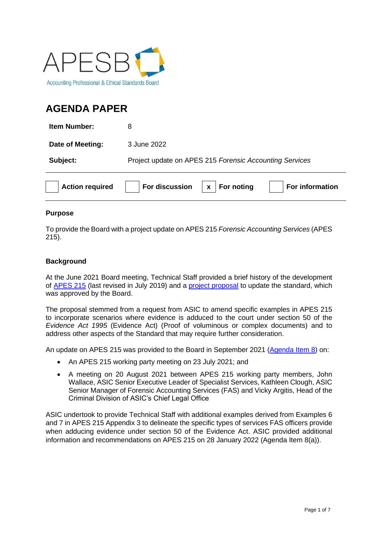

# **AGENDA PAPER**

| <b>Action required</b> | For discussion<br>For noting<br>For information<br>$\mathbf{x}$ |
|------------------------|-----------------------------------------------------------------|
| Subject:               | Project update on APES 215 Forensic Accounting Services         |
| Date of Meeting:       | 3 June 2022                                                     |
| <b>Item Number:</b>    | 8                                                               |

## **Purpose**

To provide the Board with a project update on APES 215 *Forensic Accounting Services* (APES 215).

# **Background**

At the June 2021 Board meeting, Technical Staff provided a brief history of the development of [APES 215](https://apesb.org.au/wp-content/uploads/2021/01/Revised_APES_215_July_2019_web.pdf) (last revised in July 2019) and a [project proposal](https://apesb.org.au/wp-content/uploads/2021/06/Agenda_Item_7_Project_Proposal_APES_215_Forensic_Accounting_Services.pdf) to update the standard, which was approved by the Board.

The proposal stemmed from a request from ASIC to amend specific examples in APES 215 to incorporate scenarios where evidence is adduced to the court under section 50 of the *Evidence Act 1995* (Evidence Act) (Proof of voluminous or complex documents) and to address other aspects of the Standard that may require further consideration.

An update on APES 215 was provided to the Board in September 2021 [\(Agenda Item 8\)](https://apesb.org.au/wp-content/uploads/2021/08/Agenda_Item_8_Project_Update_APES_215_Forensic_Accounting_Services.pdf) on:

- An APES 215 working party meeting on 23 July 2021; and
- A meeting on 20 August 2021 between APES 215 working party members, John Wallace, ASIC Senior Executive Leader of Specialist Services, Kathleen Clough, ASIC Senior Manager of Forensic Accounting Services (FAS) and Vicky Argitis, Head of the Criminal Division of ASIC's Chief Legal Office

ASIC undertook to provide Technical Staff with additional examples derived from Examples 6 and 7 in APES 215 Appendix 3 to delineate the specific types of services FAS officers provide when adducing evidence under section 50 of the Evidence Act. ASIC provided additional information and recommendations on APES 215 on 28 January 2022 (Agenda Item 8(a)).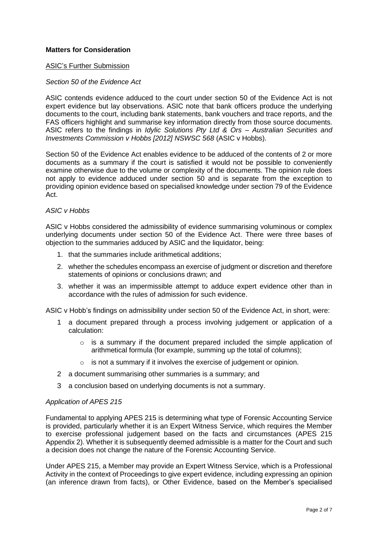## **Matters for Consideration**

#### ASIC's Further Submission

#### *Section 50 of the Evidence Act*

ASIC contends evidence adduced to the court under section 50 of the Evidence Act is not expert evidence but lay observations. ASIC note that bank officers produce the underlying documents to the court, including bank statements, bank vouchers and trace reports, and the FAS officers highlight and summarise key information directly from those source documents. ASIC refers to the findings in *Idylic Solutions Pty Ltd & Ors – Australian Securities and Investments Commission v Hobbs [2012] NSWSC 568* (ASIC v Hobbs).

Section 50 of the Evidence Act enables evidence to be adduced of the contents of 2 or more documents as a summary if the court is satisfied it would not be possible to conveniently examine otherwise due to the volume or complexity of the documents. The opinion rule does not apply to evidence adduced under section 50 and is separate from the exception to providing opinion evidence based on specialised knowledge under section 79 of the Evidence Act.

## *ASIC v Hobbs*

ASIC v Hobbs considered the admissibility of evidence summarising voluminous or complex underlying documents under section 50 of the Evidence Act. There were three bases of objection to the summaries adduced by ASIC and the liquidator, being:

- 1. that the summaries include arithmetical additions;
- 2. whether the schedules encompass an exercise of judgment or discretion and therefore statements of opinions or conclusions drawn; and
- 3. whether it was an impermissible attempt to adduce expert evidence other than in accordance with the rules of admission for such evidence.

ASIC v Hobb's findings on admissibility under section 50 of the Evidence Act, in short, were:

- 1 a document prepared through a process involving judgement or application of a calculation:
	- $\circ$  is a summary if the document prepared included the simple application of arithmetical formula (for example, summing up the total of columns);
	- is not a summary if it involves the exercise of judgement or opinion.
- 2 a document summarising other summaries is a summary; and
- 3 a conclusion based on underlying documents is not a summary.

#### *Application of APES 215*

Fundamental to applying APES 215 is determining what type of Forensic Accounting Service is provided, particularly whether it is an Expert Witness Service, which requires the Member to exercise professional judgement based on the facts and circumstances (APES 215 Appendix 2). Whether it is subsequently deemed admissible is a matter for the Court and such a decision does not change the nature of the Forensic Accounting Service.

Under APES 215, a Member may provide an Expert Witness Service, which is a Professional Activity in the context of Proceedings to give expert evidence, including expressing an opinion (an inference drawn from facts), or Other Evidence, based on the Member's specialised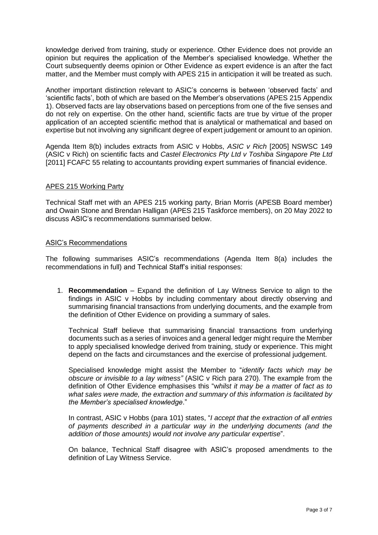knowledge derived from training, study or experience. Other Evidence does not provide an opinion but requires the application of the Member's specialised knowledge. Whether the Court subsequently deems opinion or Other Evidence as expert evidence is an after the fact matter, and the Member must comply with APES 215 in anticipation it will be treated as such.

Another important distinction relevant to ASIC's concerns is between 'observed facts' and 'scientific facts', both of which are based on the Member's observations (APES 215 Appendix 1). Observed facts are lay observations based on perceptions from one of the five senses and do not rely on expertise. On the other hand, scientific facts are true by virtue of the proper application of an accepted scientific method that is analytical or mathematical and based on expertise but not involving any significant degree of expert judgement or amount to an opinion.

Agenda Item 8(b) includes extracts from ASIC v Hobbs, *ASIC v Rich* [2005] NSWSC 149 (ASIC v Rich) on scientific facts and *Castel Electronics Pty Ltd v Toshiba Singapore Pte Ltd* [2011] FCAFC 55 relating to accountants providing expert summaries of financial evidence.

## APES 215 Working Party

Technical Staff met with an APES 215 working party, Brian Morris (APESB Board member) and Owain Stone and Brendan Halligan (APES 215 Taskforce members), on 20 May 2022 to discuss ASIC's recommendations summarised below.

## ASIC's Recommendations

The following summarises ASIC's recommendations (Agenda Item 8(a) includes the recommendations in full) and Technical Staff's initial responses:

1. **Recommendation** – Expand the definition of Lay Witness Service to align to the findings in ASIC v Hobbs by including commentary about directly observing and summarising financial transactions from underlying documents, and the example from the definition of Other Evidence on providing a summary of sales.

Technical Staff believe that summarising financial transactions from underlying documents such as a series of invoices and a general ledger might require the Member to apply specialised knowledge derived from training, study or experience. This might depend on the facts and circumstances and the exercise of professional judgement.

Specialised knowledge might assist the Member to "*identify facts which may be obscure or invisible to a lay witness"* (ASIC v Rich para 270). The example from the definition of Other Evidence emphasises this "w*hilst it may be a matter of fact as to what sales were made, the extraction and summary of this information is facilitated by the Member's specialised knowledge*."

In contrast, ASIC v Hobbs (para 101) states, "*I accept that the extraction of all entries of payments described in a particular way in the underlying documents (and the addition of those amounts) would not involve any particular expertise*".

On balance, Technical Staff disagree with ASIC's proposed amendments to the definition of Lay Witness Service.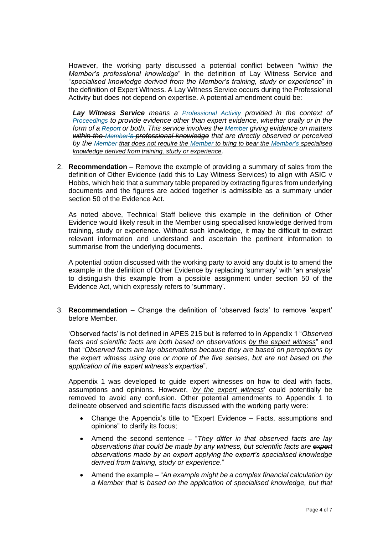However, the working party discussed a potential conflict between "*within the Member's professional knowledge*" in the definition of Lay Witness Service and "*specialised knowledge derived from the Member's training, study or experience*" in the definition of Expert Witness. A Lay Witness Service occurs during the Professional Activity but does not depend on expertise. A potential amendment could be:

*Lay Witness Service means a Professional Activity provided in the context of Proceedings to provide evidence other than expert evidence, whether orally or in the form of a Report or both. This service involves the Member giving evidence on matters within the Member's professional knowledge that are directly observed or perceived by the Member that does not require the Member to bring to bear the Member's specialised knowledge derived from training, study or experience.*

2. **Recommendation** – Remove the example of providing a summary of sales from the definition of Other Evidence (add this to Lay Witness Services) to align with ASIC v Hobbs, which held that a summary table prepared by extracting figures from underlying documents and the figures are added together is admissible as a summary under section 50 of the Evidence Act.

As noted above, Technical Staff believe this example in the definition of Other Evidence would likely result in the Member using specialised knowledge derived from training, study or experience. Without such knowledge, it may be difficult to extract relevant information and understand and ascertain the pertinent information to summarise from the underlying documents.

A potential option discussed with the working party to avoid any doubt is to amend the example in the definition of Other Evidence by replacing 'summary' with 'an analysis' to distinguish this example from a possible assignment under section 50 of the Evidence Act, which expressly refers to 'summary'.

3. **Recommendation** – Change the definition of 'observed facts' to remove 'expert' before Member.

'Observed facts' is not defined in APES 215 but is referred to in Appendix 1 "*Observed facts and scientific facts are both based on observations by the expert witness*" and that "*Observed facts are lay observations because they are based on perceptions by the expert witness using one or more of the five senses, but are not based on the application of the expert witness's expertise*".

Appendix 1 was developed to guide expert witnesses on how to deal with facts, assumptions and opinions. However, '*by the expert witness*' could potentially be removed to avoid any confusion. Other potential amendments to Appendix 1 to delineate observed and scientific facts discussed with the working party were:

- Change the Appendix's title to "Expert Evidence Facts, assumptions and opinions" to clarify its focus;
- Amend the second sentence "*They differ in that observed facts are lay observations that could be made by any witness, but scientific facts are expert observations made by an expert applying the expert's specialised knowledge derived from training, study or experience*."
- Amend the example "*An example might be a complex financial calculation by a Member that is based on the application of specialised knowledge, but that*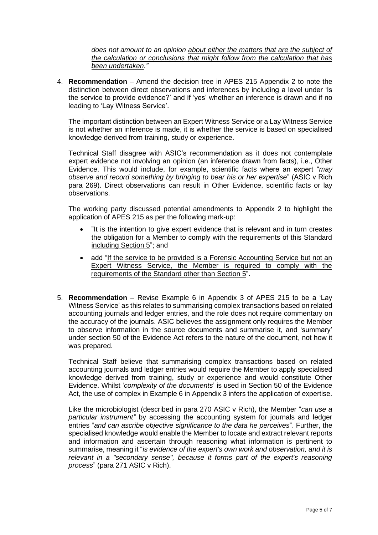*does not amount to an opinion about either the matters that are the subject of the calculation or conclusions that might follow from the calculation that has been undertaken."*

4. **Recommendation** – Amend the decision tree in APES 215 Appendix 2 to note the distinction between direct observations and inferences by including a level under 'Is the service to provide evidence?' and if 'yes' whether an inference is drawn and if no leading to 'Lay Witness Service'.

The important distinction between an Expert Witness Service or a Lay Witness Service is not whether an inference is made, it is whether the service is based on specialised knowledge derived from training, study or experience.

Technical Staff disagree with ASIC's recommendation as it does not contemplate expert evidence not involving an opinion (an inference drawn from facts), i.e., Other Evidence. This would include, for example, scientific facts where an expert "*may observe and record something by bringing to bear his or her expertise*" (ASIC v Rich para 269). Direct observations can result in Other Evidence, scientific facts or lay observations.

The working party discussed potential amendments to Appendix 2 to highlight the application of APES 215 as per the following mark-up:

- "It is the intention to give expert evidence that is relevant and in turn creates the obligation for a Member to comply with the requirements of this Standard including Section 5"; and
- add "If the service to be provided is a Forensic Accounting Service but not an Expert Witness Service, the Member is required to comply with the requirements of the Standard other than Section 5".
- 5. **Recommendation** Revise Example 6 in Appendix 3 of APES 215 to be a 'Lay Witness Service' as this relates to summarising complex transactions based on related accounting journals and ledger entries, and the role does not require commentary on the accuracy of the journals. ASIC believes the assignment only requires the Member to observe information in the source documents and summarise it, and 'summary' under section 50 of the Evidence Act refers to the nature of the document, not how it was prepared.

Technical Staff believe that summarising complex transactions based on related accounting journals and ledger entries would require the Member to apply specialised knowledge derived from training, study or experience and would constitute Other Evidence. Whilst '*complexity of the documents*' is used in Section 50 of the Evidence Act, the use of complex in Example 6 in Appendix 3 infers the application of expertise.

Like the microbiologist (described in para 270 ASIC v Rich), the Member "*can use a particular instrument"* by accessing the accounting system for journals and ledger entries "*and can ascribe objective significance to the data he perceives*". Further, the specialised knowledge would enable the Member to locate and extract relevant reports and information and ascertain through reasoning what information is pertinent to summarise, meaning it "*is evidence of the expert's own work and observation, and it is relevant in a "secondary sense", because it forms part of the expert's reasoning process*" (para 271 ASIC v Rich).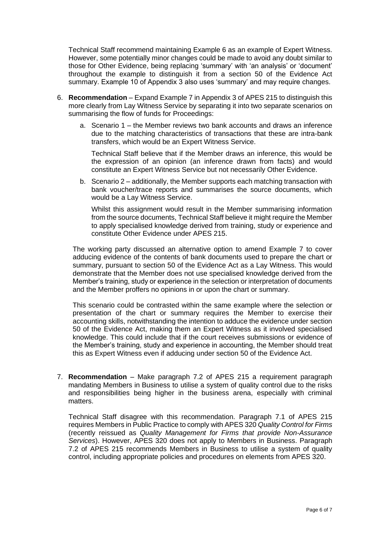Technical Staff recommend maintaining Example 6 as an example of Expert Witness. However, some potentially minor changes could be made to avoid any doubt similar to those for Other Evidence, being replacing 'summary' with 'an analysis' or 'document' throughout the example to distinguish it from a section 50 of the Evidence Act summary. Example 10 of Appendix 3 also uses 'summary' and may require changes.

- 6. **Recommendation** Expand Example 7 in Appendix 3 of APES 215 to distinguish this more clearly from Lay Witness Service by separating it into two separate scenarios on summarising the flow of funds for Proceedings:
	- a. Scenario 1 the Member reviews two bank accounts and draws an inference due to the matching characteristics of transactions that these are intra-bank transfers, which would be an Expert Witness Service.

Technical Staff believe that if the Member draws an inference, this would be the expression of an opinion (an inference drawn from facts) and would constitute an Expert Witness Service but not necessarily Other Evidence.

b. Scenario 2 – additionally, the Member supports each matching transaction with bank voucher/trace reports and summarises the source documents, which would be a Lay Witness Service.

Whilst this assignment would result in the Member summarising information from the source documents, Technical Staff believe it might require the Member to apply specialised knowledge derived from training, study or experience and constitute Other Evidence under APES 215.

The working party discussed an alternative option to amend Example 7 to cover adducing evidence of the contents of bank documents used to prepare the chart or summary, pursuant to section 50 of the Evidence Act as a Lay Witness. This would demonstrate that the Member does not use specialised knowledge derived from the Member's training, study or experience in the selection or interpretation of documents and the Member proffers no opinions in or upon the chart or summary.

This scenario could be contrasted within the same example where the selection or presentation of the chart or summary requires the Member to exercise their accounting skills, notwithstanding the intention to adduce the evidence under section 50 of the Evidence Act, making them an Expert Witness as it involved specialised knowledge. This could include that if the court receives submissions or evidence of the Member's training, study and experience in accounting, the Member should treat this as Expert Witness even if adducing under section 50 of the Evidence Act.

7. **Recommendation** – Make paragraph 7.2 of APES 215 a requirement paragraph mandating Members in Business to utilise a system of quality control due to the risks and responsibilities being higher in the business arena, especially with criminal matters.

Technical Staff disagree with this recommendation. Paragraph 7.1 of APES 215 requires Members in Public Practice to comply with APES 320 *Quality Control for Firms* (recently reissued as *Quality Management for Firms that provide Non-Assurance Services*). However, APES 320 does not apply to Members in Business. Paragraph 7.2 of APES 215 recommends Members in Business to utilise a system of quality control, including appropriate policies and procedures on elements from APES 320.